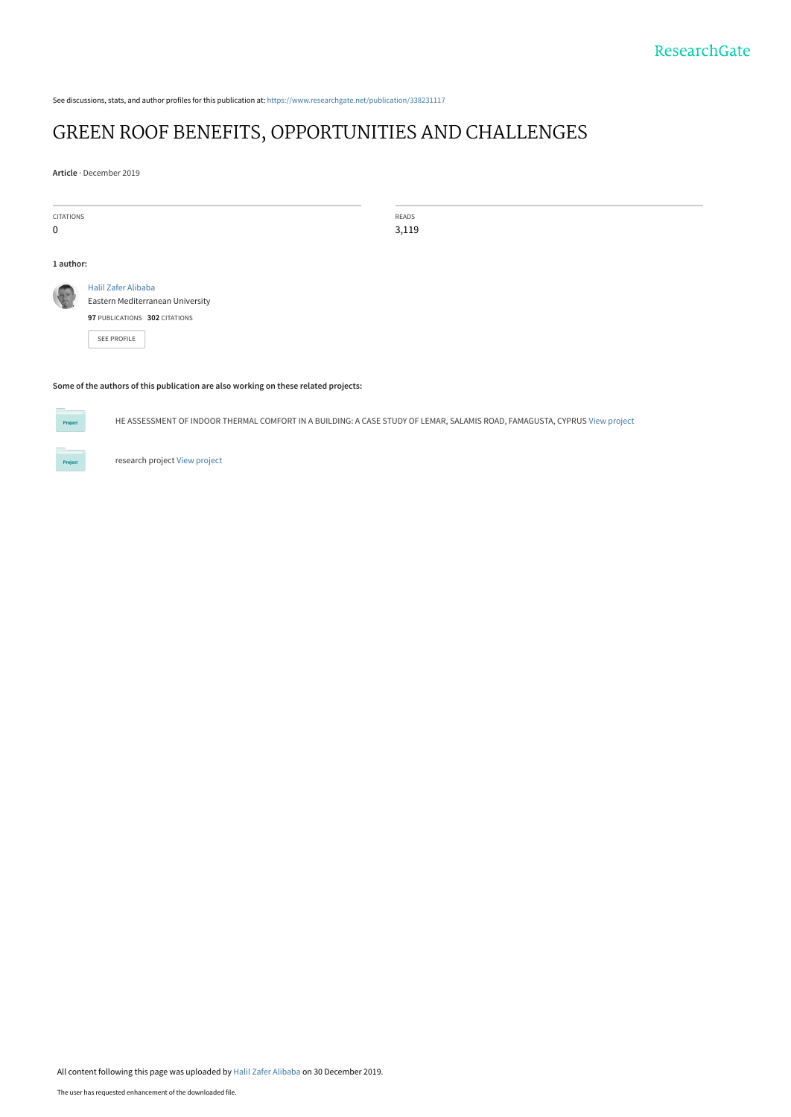See discussions, stats, and author profiles for this publication at: [https://www.researchgate.net/publication/338231117](https://www.researchgate.net/publication/338231117_GREEN_ROOF_BENEFITS_OPPORTUNITIES_AND_CHALLENGES?enrichId=rgreq-bff77fcfe023cb74c54f0bd52b080641-XXX&enrichSource=Y292ZXJQYWdlOzMzODIzMTExNztBUzo4NDE3NzE1MTI3NzQ2NTZAMTU3NzcwNTM3NjIxNg%3D%3D&el=1_x_2&_esc=publicationCoverPdf)

# [GREEN ROOF BENEFITS, OPPORTUNITIES AND CHALLENGES](https://www.researchgate.net/publication/338231117_GREEN_ROOF_BENEFITS_OPPORTUNITIES_AND_CHALLENGES?enrichId=rgreq-bff77fcfe023cb74c54f0bd52b080641-XXX&enrichSource=Y292ZXJQYWdlOzMzODIzMTExNztBUzo4NDE3NzE1MTI3NzQ2NTZAMTU3NzcwNTM3NjIxNg%3D%3D&el=1_x_3&_esc=publicationCoverPdf)

**Article** · December 2019

CITATIONS 0

READS 3,119

#### **1 author:**

[Eastern Mediterranean University](https://www.researchgate.net/institution/Eastern-Mediterranean-University?enrichId=rgreq-bff77fcfe023cb74c54f0bd52b080641-XXX&enrichSource=Y292ZXJQYWdlOzMzODIzMTExNztBUzo4NDE3NzE1MTI3NzQ2NTZAMTU3NzcwNTM3NjIxNg%3D%3D&el=1_x_6&_esc=publicationCoverPdf) **97** PUBLICATIONS **302** CITATIONS

[SEE PROFILE](https://www.researchgate.net/profile/Halil-Alibaba?enrichId=rgreq-bff77fcfe023cb74c54f0bd52b080641-XXX&enrichSource=Y292ZXJQYWdlOzMzODIzMTExNztBUzo4NDE3NzE1MTI3NzQ2NTZAMTU3NzcwNTM3NjIxNg%3D%3D&el=1_x_7&_esc=publicationCoverPdf)

[Halil Zafer Alibaba](https://www.researchgate.net/profile/Halil-Alibaba?enrichId=rgreq-bff77fcfe023cb74c54f0bd52b080641-XXX&enrichSource=Y292ZXJQYWdlOzMzODIzMTExNztBUzo4NDE3NzE1MTI3NzQ2NTZAMTU3NzcwNTM3NjIxNg%3D%3D&el=1_x_5&_esc=publicationCoverPdf)

#### **Some of the authors of this publication are also working on these related projects:**



HE ASSESSMENT OF INDOOR THERMAL COMFORT IN A BUILDING: A CASE STUDY OF LEMAR, SALAMIS ROAD, FAMAGUSTA, CYPRUS [View project](https://www.researchgate.net/project/HE-ASSESSMENT-OF-INDOOR-THERMAL-COMFORT-IN-A-BUILDING-A-CASE-STUDY-OF-LEMAR-SALAMIS-ROAD-FAMAGUSTA-CYPRUS?enrichId=rgreq-bff77fcfe023cb74c54f0bd52b080641-XXX&enrichSource=Y292ZXJQYWdlOzMzODIzMTExNztBUzo4NDE3NzE1MTI3NzQ2NTZAMTU3NzcwNTM3NjIxNg%3D%3D&el=1_x_9&_esc=publicationCoverPdf)

research project [View project](https://www.researchgate.net/project/research-project-21?enrichId=rgreq-bff77fcfe023cb74c54f0bd52b080641-XXX&enrichSource=Y292ZXJQYWdlOzMzODIzMTExNztBUzo4NDE3NzE1MTI3NzQ2NTZAMTU3NzcwNTM3NjIxNg%3D%3D&el=1_x_9&_esc=publicationCoverPdf)

All content following this page was uploaded by [Halil Zafer Alibaba](https://www.researchgate.net/profile/Halil-Alibaba?enrichId=rgreq-bff77fcfe023cb74c54f0bd52b080641-XXX&enrichSource=Y292ZXJQYWdlOzMzODIzMTExNztBUzo4NDE3NzE1MTI3NzQ2NTZAMTU3NzcwNTM3NjIxNg%3D%3D&el=1_x_10&_esc=publicationCoverPdf) on 30 December 2019.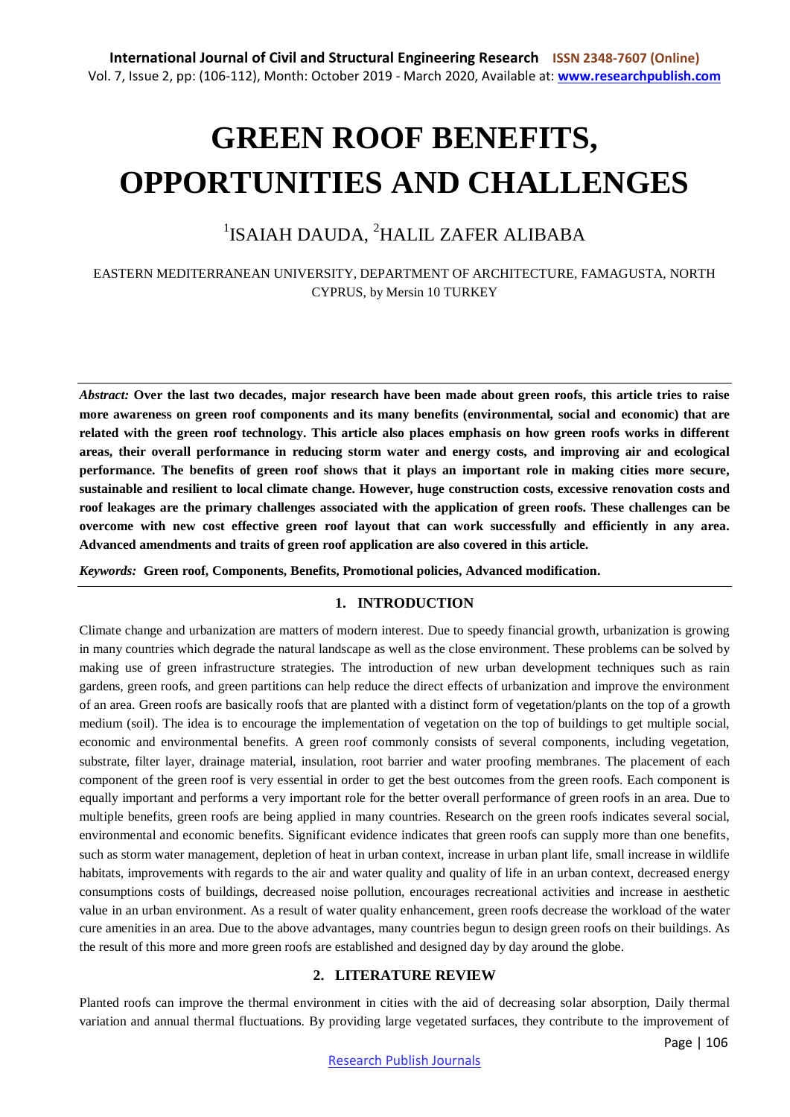# **GREEN ROOF BENEFITS, OPPORTUNITIES AND CHALLENGES**

# <sup>1</sup>ISAIAH DAUDA, <sup>2</sup>HALIL ZAFER ALIBABA

EASTERN MEDITERRANEAN UNIVERSITY, DEPARTMENT OF ARCHITECTURE, FAMAGUSTA, NORTH CYPRUS, by Mersin 10 TURKEY

*Abstract:* **Over the last two decades, major research have been made about green roofs, this article tries to raise more awareness on green roof components and its many benefits (environmental, social and economic) that are related with the green roof technology. This article also places emphasis on how green roofs works in different areas, their overall performance in reducing storm water and energy costs, and improving air and ecological performance. The benefits of green roof shows that it plays an important role in making cities more secure, sustainable and resilient to local climate change. However, huge construction costs, excessive renovation costs and roof leakages are the primary challenges associated with the application of green roofs. These challenges can be overcome with new cost effective green roof layout that can work successfully and efficiently in any area. Advanced amendments and traits of green roof application are also covered in this article.**

*Keywords:* **Green roof, Components, Benefits, Promotional policies, Advanced modification.**

## **1. INTRODUCTION**

Climate change and urbanization are matters of modern interest. Due to speedy financial growth, urbanization is growing in many countries which degrade the natural landscape as well as the close environment. These problems can be solved by making use of green infrastructure strategies. The introduction of new urban development techniques such as rain gardens, green roofs, and green partitions can help reduce the direct effects of urbanization and improve the environment of an area. Green roofs are basically roofs that are planted with a distinct form of vegetation/plants on the top of a growth medium (soil). The idea is to encourage the implementation of vegetation on the top of buildings to get multiple social, economic and environmental benefits. A green roof commonly consists of several components, including vegetation, substrate, filter layer, drainage material, insulation, root barrier and water proofing membranes. The placement of each component of the green roof is very essential in order to get the best outcomes from the green roofs. Each component is equally important and performs a very important role for the better overall performance of green roofs in an area. Due to multiple benefits, green roofs are being applied in many countries. Research on the green roofs indicates several social, environmental and economic benefits. Significant evidence indicates that green roofs can supply more than one benefits, such as storm water management, depletion of heat in urban context, increase in urban plant life, small increase in wildlife habitats, improvements with regards to the air and water quality and quality of life in an urban context, decreased energy consumptions costs of buildings, decreased noise pollution, encourages recreational activities and increase in aesthetic value in an urban environment. As a result of water quality enhancement, green roofs decrease the workload of the water cure amenities in an area. Due to the above advantages, many countries begun to design green roofs on their buildings. As the result of this more and more green roofs are established and designed day by day around the globe.

## **2. LITERATURE REVIEW**

Planted roofs can improve the thermal environment in cities with the aid of decreasing solar absorption, Daily thermal variation and annual thermal fluctuations. By providing large vegetated surfaces, they contribute to the improvement of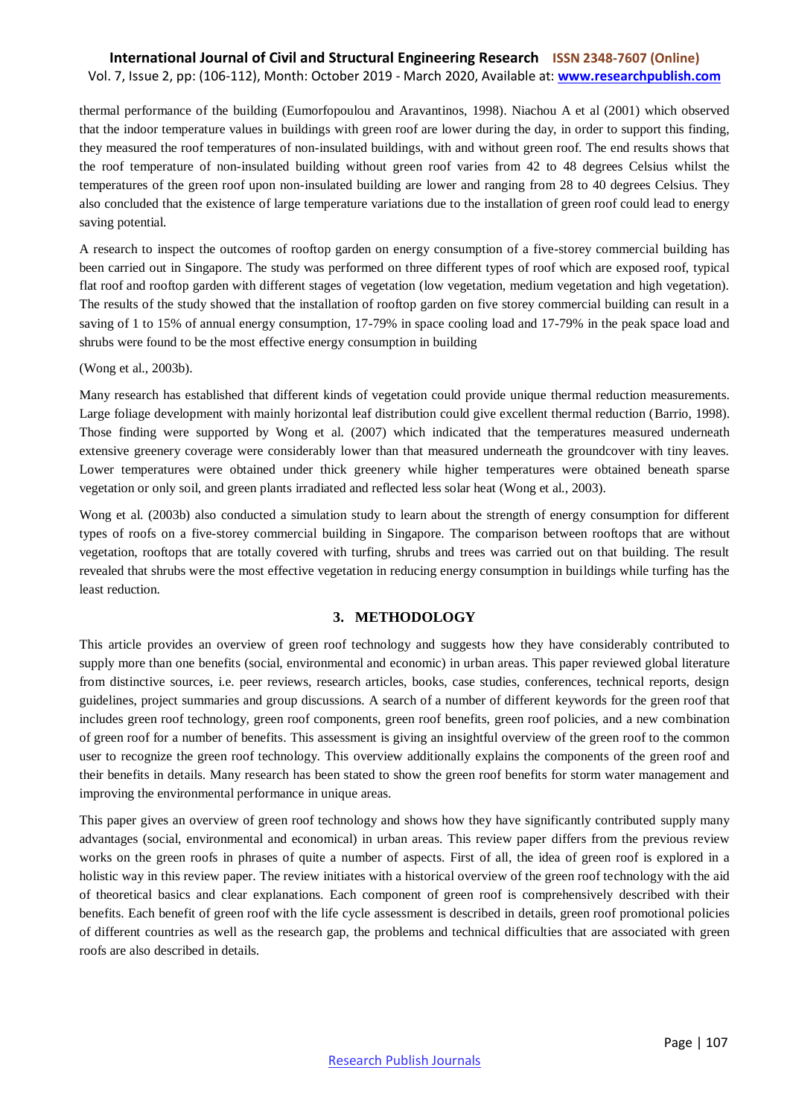thermal performance of the building (Eumorfopoulou and Aravantinos, 1998). Niachou A et al (2001) which observed that the indoor temperature values in buildings with green roof are lower during the day, in order to support this finding, they measured the roof temperatures of non-insulated buildings, with and without green roof. The end results shows that the roof temperature of non-insulated building without green roof varies from 42 to 48 degrees Celsius whilst the temperatures of the green roof upon non-insulated building are lower and ranging from 28 to 40 degrees Celsius. They also concluded that the existence of large temperature variations due to the installation of green roof could lead to energy saving potential.

A research to inspect the outcomes of rooftop garden on energy consumption of a five-storey commercial building has been carried out in Singapore. The study was performed on three different types of roof which are exposed roof, typical flat roof and rooftop garden with different stages of vegetation (low vegetation, medium vegetation and high vegetation). The results of the study showed that the installation of rooftop garden on five storey commercial building can result in a saving of 1 to 15% of annual energy consumption, 17-79% in space cooling load and 17-79% in the peak space load and shrubs were found to be the most effective energy consumption in building

(Wong et al., 2003b).

Many research has established that different kinds of vegetation could provide unique thermal reduction measurements. Large foliage development with mainly horizontal leaf distribution could give excellent thermal reduction (Barrio, 1998). Those finding were supported by Wong et al. (2007) which indicated that the temperatures measured underneath extensive greenery coverage were considerably lower than that measured underneath the groundcover with tiny leaves. Lower temperatures were obtained under thick greenery while higher temperatures were obtained beneath sparse vegetation or only soil, and green plants irradiated and reflected less solar heat (Wong et al., 2003).

Wong et al. (2003b) also conducted a simulation study to learn about the strength of energy consumption for different types of roofs on a five-storey commercial building in Singapore. The comparison between rooftops that are without vegetation, rooftops that are totally covered with turfing, shrubs and trees was carried out on that building. The result revealed that shrubs were the most effective vegetation in reducing energy consumption in buildings while turfing has the least reduction.

#### **3. METHODOLOGY**

This article provides an overview of green roof technology and suggests how they have considerably contributed to supply more than one benefits (social, environmental and economic) in urban areas. This paper reviewed global literature from distinctive sources, i.e. peer reviews, research articles, books, case studies, conferences, technical reports, design guidelines, project summaries and group discussions. A search of a number of different keywords for the green roof that includes green roof technology, green roof components, green roof benefits, green roof policies, and a new combination of green roof for a number of benefits. This assessment is giving an insightful overview of the green roof to the common user to recognize the green roof technology. This overview additionally explains the components of the green roof and their benefits in details. Many research has been stated to show the green roof benefits for storm water management and improving the environmental performance in unique areas.

This paper gives an overview of green roof technology and shows how they have significantly contributed supply many advantages (social, environmental and economical) in urban areas. This review paper differs from the previous review works on the green roofs in phrases of quite a number of aspects. First of all, the idea of green roof is explored in a holistic way in this review paper. The review initiates with a historical overview of the green roof technology with the aid of theoretical basics and clear explanations. Each component of green roof is comprehensively described with their benefits. Each benefit of green roof with the life cycle assessment is described in details, green roof promotional policies of different countries as well as the research gap, the problems and technical difficulties that are associated with green roofs are also described in details.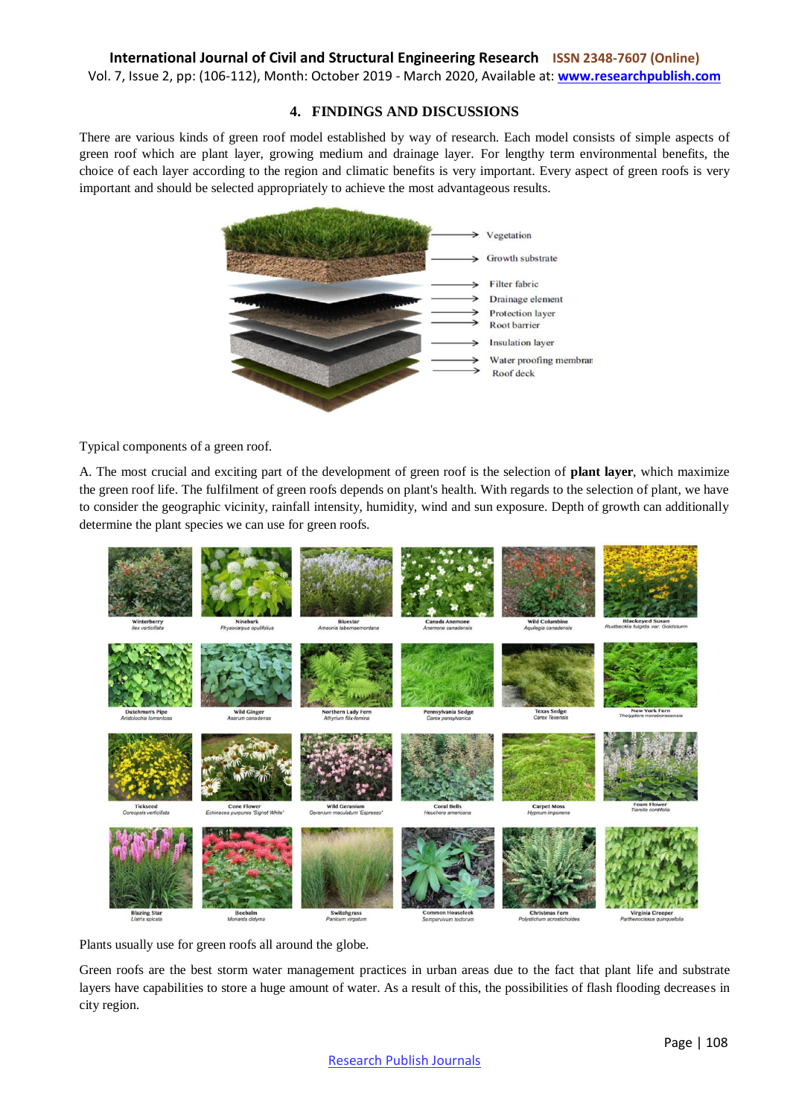Vol. 7, Issue 2, pp: (106-112), Month: October 2019 - March 2020, Available at: **www.researchpublish.com**

#### **4. FINDINGS AND DISCUSSIONS**

There are various kinds of green roof model established by way of research. Each model consists of simple aspects of green roof which are plant layer, growing medium and drainage layer. For lengthy term environmental benefits, the choice of each layer according to the region and climatic benefits is very important. Every aspect of green roofs is very important and should be selected appropriately to achieve the most advantageous results.



Typical components of a green roof.

A. The most crucial and exciting part of the development of green roof is the selection of **plant layer**, which maximize the green roof life. The fulfilment of green roofs depends on plant's health. With regards to the selection of plant, we have to consider the geographic vicinity, rainfall intensity, humidity, wind and sun exposure. Depth of growth can additionally determine the plant species we can use for green roofs.



Plants usually use for green roofs all around the globe.

Green roofs are the best storm water management practices in urban areas due to the fact that plant life and substrate layers have capabilities to store a huge amount of water. As a result of this, the possibilities of flash flooding decreases in city region.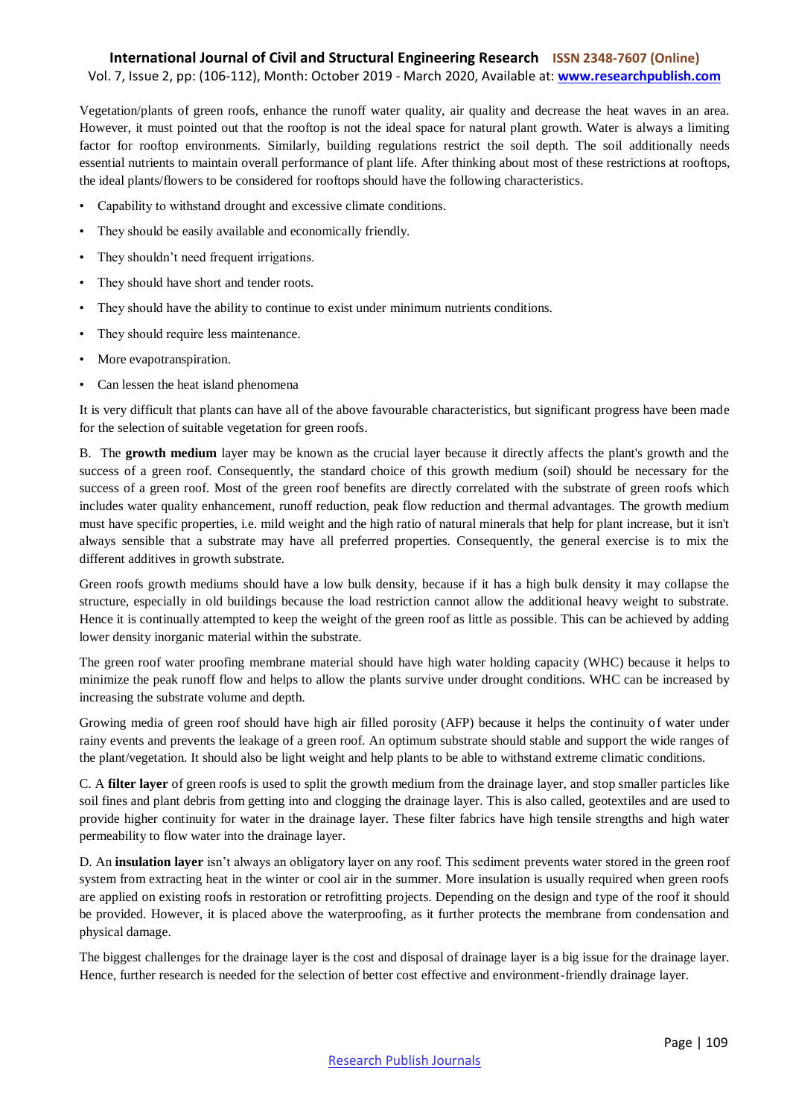#### **International Journal of Civil and Structural Engineering Research ISSN 2348-7607 (Online)**

Vol. 7, Issue 2, pp: (106-112), Month: October 2019 - March 2020, Available at: **www.researchpublish.com**

Vegetation/plants of green roofs, enhance the runoff water quality, air quality and decrease the heat waves in an area. However, it must pointed out that the rooftop is not the ideal space for natural plant growth. Water is always a limiting factor for rooftop environments. Similarly, building regulations restrict the soil depth. The soil additionally needs essential nutrients to maintain overall performance of plant life. After thinking about most of these restrictions at rooftops, the ideal plants/flowers to be considered for rooftops should have the following characteristics.

- Capability to withstand drought and excessive climate conditions.
- They should be easily available and economically friendly.
- They shouldn't need frequent irrigations.
- They should have short and tender roots.
- They should have the ability to continue to exist under minimum nutrients conditions.
- They should require less maintenance.
- More evapotranspiration.
- Can lessen the heat island phenomena

It is very difficult that plants can have all of the above favourable characteristics, but significant progress have been made for the selection of suitable vegetation for green roofs.

B. The **growth medium** layer may be known as the crucial layer because it directly affects the plant's growth and the success of a green roof. Consequently, the standard choice of this growth medium (soil) should be necessary for the success of a green roof. Most of the green roof benefits are directly correlated with the substrate of green roofs which includes water quality enhancement, runoff reduction, peak flow reduction and thermal advantages. The growth medium must have specific properties, i.e. mild weight and the high ratio of natural minerals that help for plant increase, but it isn't always sensible that a substrate may have all preferred properties. Consequently, the general exercise is to mix the different additives in growth substrate.

Green roofs growth mediums should have a low bulk density, because if it has a high bulk density it may collapse the structure, especially in old buildings because the load restriction cannot allow the additional heavy weight to substrate. Hence it is continually attempted to keep the weight of the green roof as little as possible. This can be achieved by adding lower density inorganic material within the substrate.

The green roof water proofing membrane material should have high water holding capacity (WHC) because it helps to minimize the peak runoff flow and helps to allow the plants survive under drought conditions. WHC can be increased by increasing the substrate volume and depth.

Growing media of green roof should have high air filled porosity (AFP) because it helps the continuity of water under rainy events and prevents the leakage of a green roof. An optimum substrate should stable and support the wide ranges of the plant/vegetation. It should also be light weight and help plants to be able to withstand extreme climatic conditions.

C. A **filter layer** of green roofs is used to split the growth medium from the drainage layer, and stop smaller particles like soil fines and plant debris from getting into and clogging the drainage layer. This is also called, geotextiles and are used to provide higher continuity for water in the drainage layer. These filter fabrics have high tensile strengths and high water permeability to flow water into the drainage layer.

D. An **insulation layer** isn't always an obligatory layer on any roof. This sediment prevents water stored in the green roof system from extracting heat in the winter or cool air in the summer. More insulation is usually required when green roofs are applied on existing roofs in restoration or retrofitting projects. Depending on the design and type of the roof it should be provided. However, it is placed above the waterproofing, as it further protects the membrane from condensation and physical damage.

The biggest challenges for the drainage layer is the cost and disposal of drainage layer is a big issue for the drainage layer. Hence, further research is needed for the selection of better cost effective and environment-friendly drainage layer.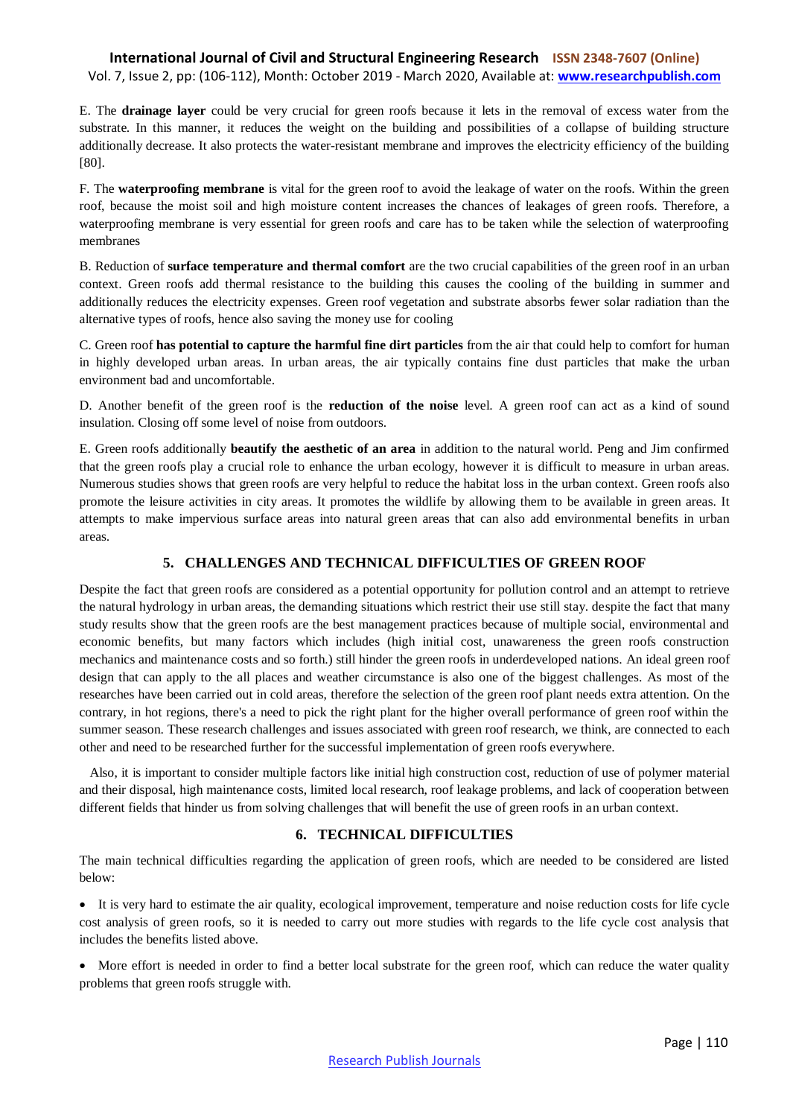E. The **drainage layer** could be very crucial for green roofs because it lets in the removal of excess water from the substrate. In this manner, it reduces the weight on the building and possibilities of a collapse of building structure additionally decrease. It also protects the water-resistant membrane and improves the electricity efficiency of the building [80].

F. The **waterproofing membrane** is vital for the green roof to avoid the leakage of water on the roofs. Within the green roof, because the moist soil and high moisture content increases the chances of leakages of green roofs. Therefore, a waterproofing membrane is very essential for green roofs and care has to be taken while the selection of waterproofing membranes

B. Reduction of **surface temperature and thermal comfort** are the two crucial capabilities of the green roof in an urban context. Green roofs add thermal resistance to the building this causes the cooling of the building in summer and additionally reduces the electricity expenses. Green roof vegetation and substrate absorbs fewer solar radiation than the alternative types of roofs, hence also saving the money use for cooling

C. Green roof **has potential to capture the harmful fine dirt particles** from the air that could help to comfort for human in highly developed urban areas. In urban areas, the air typically contains fine dust particles that make the urban environment bad and uncomfortable.

D. Another benefit of the green roof is the **reduction of the noise** level. A green roof can act as a kind of sound insulation. Closing off some level of noise from outdoors.

E. Green roofs additionally **beautify the aesthetic of an area** in addition to the natural world. Peng and Jim confirmed that the green roofs play a crucial role to enhance the urban ecology, however it is difficult to measure in urban areas. Numerous studies shows that green roofs are very helpful to reduce the habitat loss in the urban context. Green roofs also promote the leisure activities in city areas. It promotes the wildlife by allowing them to be available in green areas. It attempts to make impervious surface areas into natural green areas that can also add environmental benefits in urban areas.

#### **5. CHALLENGES AND TECHNICAL DIFFICULTIES OF GREEN ROOF**

Despite the fact that green roofs are considered as a potential opportunity for pollution control and an attempt to retrieve the natural hydrology in urban areas, the demanding situations which restrict their use still stay. despite the fact that many study results show that the green roofs are the best management practices because of multiple social, environmental and economic benefits, but many factors which includes (high initial cost, unawareness the green roofs construction mechanics and maintenance costs and so forth.) still hinder the green roofs in underdeveloped nations. An ideal green roof design that can apply to the all places and weather circumstance is also one of the biggest challenges. As most of the researches have been carried out in cold areas, therefore the selection of the green roof plant needs extra attention. On the contrary, in hot regions, there's a need to pick the right plant for the higher overall performance of green roof within the summer season. These research challenges and issues associated with green roof research, we think, are connected to each other and need to be researched further for the successful implementation of green roofs everywhere.

 Also, it is important to consider multiple factors like initial high construction cost, reduction of use of polymer material and their disposal, high maintenance costs, limited local research, roof leakage problems, and lack of cooperation between different fields that hinder us from solving challenges that will benefit the use of green roofs in an urban context.

#### **6. TECHNICAL DIFFICULTIES**

The main technical difficulties regarding the application of green roofs, which are needed to be considered are listed below:

 It is very hard to estimate the air quality, ecological improvement, temperature and noise reduction costs for life cycle cost analysis of green roofs, so it is needed to carry out more studies with regards to the life cycle cost analysis that includes the benefits listed above.

More effort is needed in order to find a better local substrate for the green roof, which can reduce the water quality problems that green roofs struggle with.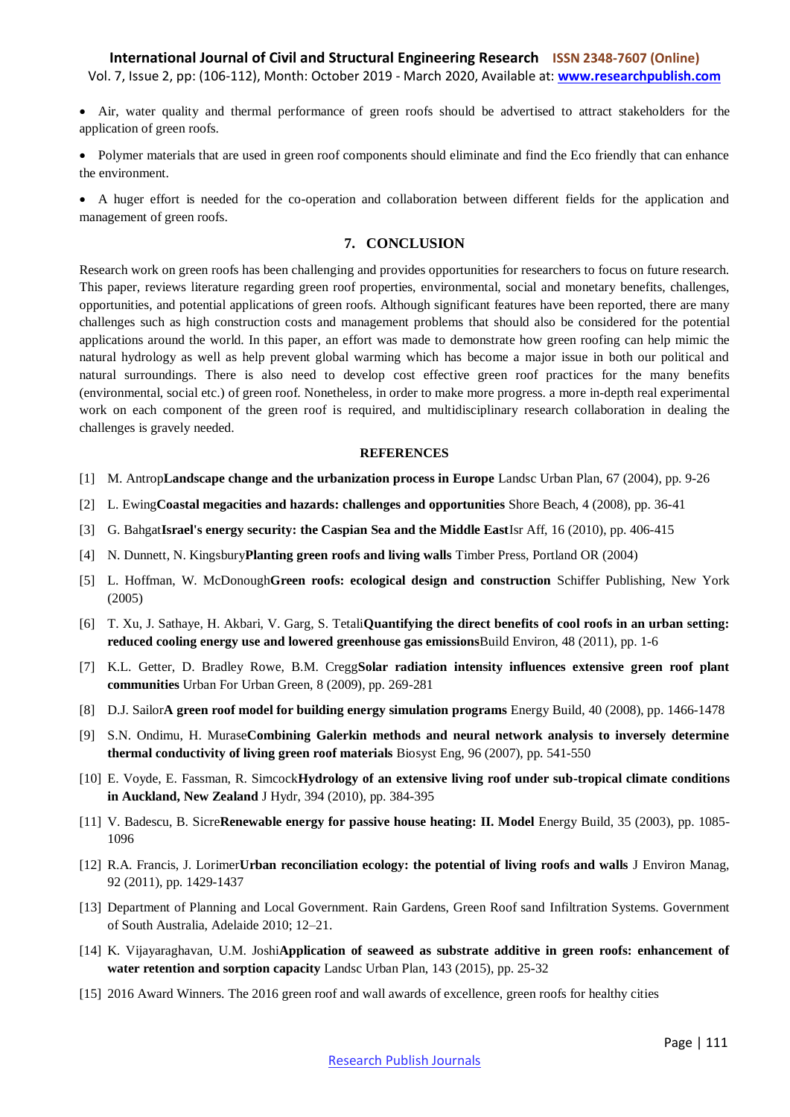- Air, water quality and thermal performance of green roofs should be advertised to attract stakeholders for the application of green roofs.
- Polymer materials that are used in green roof components should eliminate and find the Eco friendly that can enhance the environment.
- A huger effort is needed for the co-operation and collaboration between different fields for the application and management of green roofs.

#### **7. CONCLUSION**

Research work on green roofs has been challenging and provides opportunities for researchers to focus on future research. This paper, reviews literature regarding green roof properties, environmental, social and monetary benefits, challenges, opportunities, and potential applications of green roofs. Although significant features have been reported, there are many challenges such as high construction costs and management problems that should also be considered for the potential applications around the world. In this paper, an effort was made to demonstrate how green roofing can help mimic the natural hydrology as well as help prevent global warming which has become a major issue in both our political and natural surroundings. There is also need to develop cost effective green roof practices for the many benefits (environmental, social etc.) of green roof. Nonetheless, in order to make more progress. a more in-depth real experimental work on each component of the green roof is required, and multidisciplinary research collaboration in dealing the challenges is gravely needed.

#### **REFERENCES**

- [1] M. Antrop**Landscape change and the urbanization process in Europe** Landsc Urban Plan, 67 (2004), pp. 9-26
- [2] L. Ewing**Coastal megacities and hazards: challenges and opportunities** Shore Beach, 4 (2008), pp. 36-41
- [3] G. Bahgat**Israel's energy security: the Caspian Sea and the Middle East**Isr Aff, 16 (2010), pp. 406-415
- [4] N. Dunnett, N. Kingsbury**Planting green roofs and living walls** Timber Press, Portland OR (2004)
- [5] L. Hoffman, W. McDonough**Green roofs: ecological design and construction** Schiffer Publishing, New York (2005)
- [6] T. Xu, J. Sathaye, H. Akbari, V. Garg, S. Tetali**Quantifying the direct benefits of cool roofs in an urban setting: reduced cooling energy use and lowered greenhouse gas emissions**Build Environ, 48 (2011), pp. 1-6
- [7] K.L. Getter, D. Bradley Rowe, B.M. Cregg**Solar radiation intensity influences extensive green roof plant communities** Urban For Urban Green, 8 (2009), pp. 269-281
- [8] D.J. Sailor**A green roof model for building energy simulation programs** Energy Build, 40 (2008), pp. 1466-1478
- [9] S.N. Ondimu, H. Murase**Combining Galerkin methods and neural network analysis to inversely determine thermal conductivity of living green roof materials** Biosyst Eng, 96 (2007), pp. 541-550
- [10] E. Voyde, E. Fassman, R. Simcock**Hydrology of an extensive living roof under sub-tropical climate conditions in Auckland, New Zealand** J Hydr, 394 (2010), pp. 384-395
- [11] V. Badescu, B. Sicre**Renewable energy for passive house heating: II. Model** Energy Build, 35 (2003), pp. 1085- 1096
- [12] R.A. Francis, J. Lorimer**Urban reconciliation ecology: the potential of living roofs and walls** J Environ Manag, 92 (2011), pp. 1429-1437
- [13] Department of Planning and Local Government. Rain Gardens, Green Roof sand Infiltration Systems. Government of South Australia, Adelaide 2010; 12–21.
- [14] K. Vijayaraghavan, U.M. Joshi**Application of seaweed as substrate additive in green roofs: enhancement of water retention and sorption capacity** Landsc Urban Plan, 143 (2015), pp. 25-32
- [15] 2016 Award Winners. The 2016 green roof and wall awards of excellence, green roofs for healthy cities